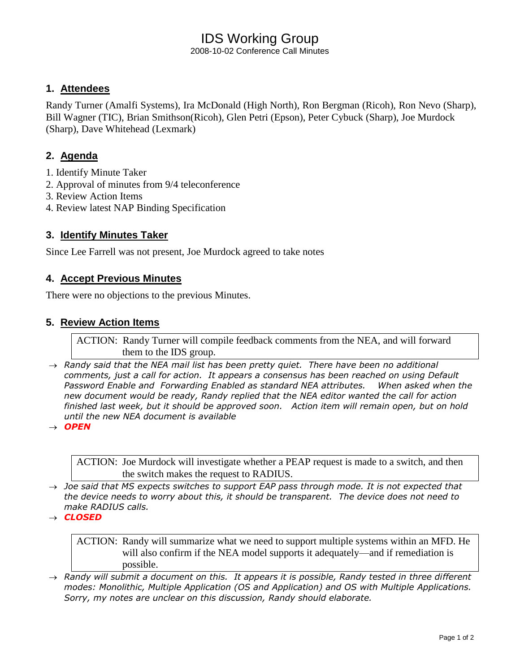# IDS Working Group

2008-10-02 Conference Call Minutes

# **1. Attendees**

Randy Turner (Amalfi Systems), Ira McDonald (High North), Ron Bergman (Ricoh), Ron Nevo (Sharp), Bill Wagner (TIC), Brian Smithson(Ricoh), Glen Petri (Epson), Peter Cybuck (Sharp), Joe Murdock (Sharp), Dave Whitehead (Lexmark)

# **2. Agenda**

- 1. Identify Minute Taker
- 2. Approval of minutes from 9/4 teleconference
- 3. Review Action Items
- 4. Review latest NAP Binding Specification

### **3. Identify Minutes Taker**

Since Lee Farrell was not present, Joe Murdock agreed to take notes

#### **4. Accept Previous Minutes**

There were no objections to the previous Minutes.

#### **5. Review Action Items**

ACTION: Randy Turner will compile feedback comments from the NEA, and will forward them to the IDS group.

 $\rightarrow$  Randy said that the NEA mail list has been pretty quiet. There have been no additional *comments, just a call for action. It appears a consensus has been reached on using Default Password Enable and Forwarding Enabled as standard NEA attributes. When asked when the new document would be ready, Randy replied that the NEA editor wanted the call for action finished last week, but it should be approved soon. Action item will remain open, but on hold until the new NEA document is available*

 $\rightarrow$  **OPEN** 

ACTION: Joe Murdock will investigate whether a PEAP request is made to a switch, and then the switch makes the request to RADIUS.

- *Joe said that MS expects switches to support EAP pass through mode. It is not expected that the device needs to worry about this, it should be transparent. The device does not need to make RADIUS calls.*
- *CLOSED*

ACTION: Randy will summarize what we need to support multiple systems within an MFD. He will also confirm if the NEA model supports it adequately—and if remediation is possible.

 $\rightarrow$  Randy will submit a document on this. It appears it is possible, Randy tested in three different *modes: Monolithic, Multiple Application (OS and Application) and OS with Multiple Applications. Sorry, my notes are unclear on this discussion, Randy should elaborate.*